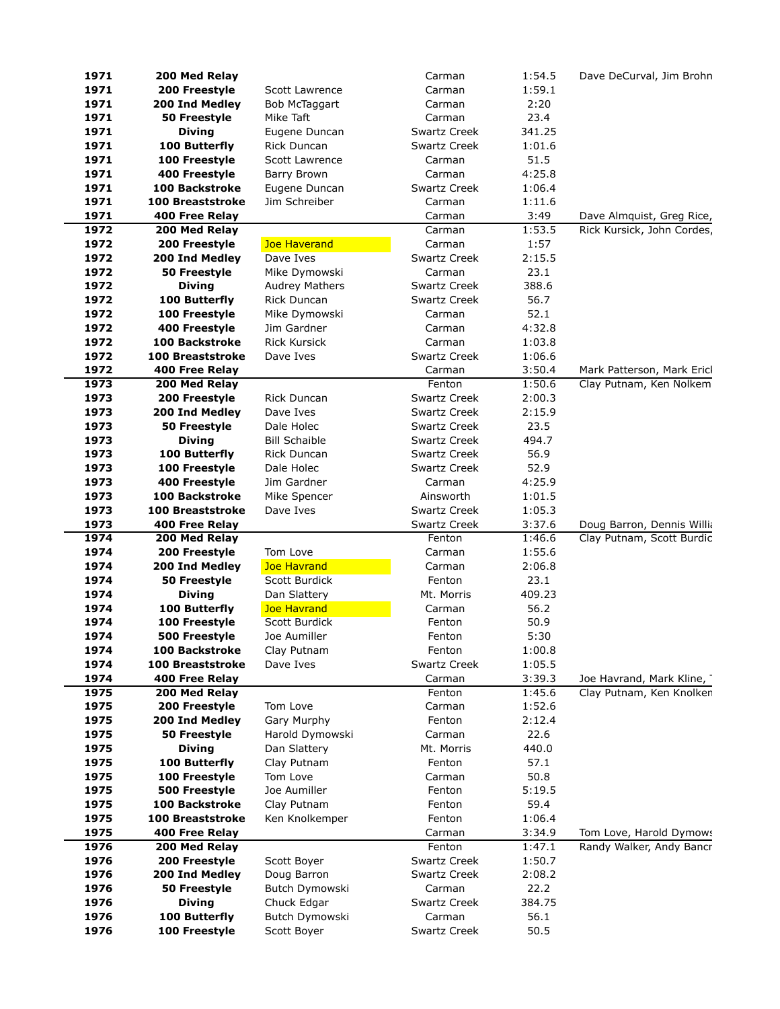| 1971         | 200 Med Relay                   |                         | Carman           | 1:54.5           | Dave DeCurval, Jim Brohn                              |
|--------------|---------------------------------|-------------------------|------------------|------------------|-------------------------------------------------------|
| 1971         | 200 Freestyle                   | Scott Lawrence          | Carman           | 1:59.1           |                                                       |
| 1971         | 200 Ind Medley                  | Bob McTaggart           | Carman           | 2:20             |                                                       |
| 1971         | 50 Freestyle                    | Mike Taft               | Carman           | 23.4             |                                                       |
| 1971         | <b>Diving</b>                   | Eugene Duncan           | Swartz Creek     | 341.25           |                                                       |
| 1971         | 100 Butterfly                   | Rick Duncan             | Swartz Creek     | 1:01.6           |                                                       |
| 1971         | 100 Freestyle                   | <b>Scott Lawrence</b>   | Carman           | 51.5             |                                                       |
| 1971         | 400 Freestyle                   | Barry Brown             | Carman           | 4:25.8           |                                                       |
| 1971         | <b>100 Backstroke</b>           | Eugene Duncan           | Swartz Creek     | 1:06.4           |                                                       |
| 1971         | <b>100 Breaststroke</b>         | Jim Schreiber           | Carman           | 1:11.6           |                                                       |
| 1971         | 400 Free Relay                  |                         | Carman           | 3:49             | Dave Almquist, Greg Rice,                             |
| 1972         | 200 Med Relay                   |                         | Carman           | 1:53.5           | Rick Kursick, John Cordes,                            |
| 1972         | 200 Freestyle                   | Joe Haverand            | Carman           | 1:57             |                                                       |
| 1972         | 200 Ind Medley                  | Dave Ives               | Swartz Creek     | 2:15.5           |                                                       |
| 1972         | 50 Freestyle                    | Mike Dymowski           | Carman           | 23.1             |                                                       |
| 1972         | <b>Diving</b>                   | <b>Audrey Mathers</b>   | Swartz Creek     | 388.6            |                                                       |
| 1972         | 100 Butterfly                   | <b>Rick Duncan</b>      | Swartz Creek     | 56.7             |                                                       |
| 1972         | 100 Freestyle                   | Mike Dymowski           | Carman           | 52.1             |                                                       |
| 1972         | 400 Freestyle                   | Jim Gardner             | Carman           | 4:32.8           |                                                       |
| 1972         | <b>100 Backstroke</b>           | <b>Rick Kursick</b>     | Carman           | 1:03.8           |                                                       |
| 1972         | <b>100 Breaststroke</b>         | Dave Ives               | Swartz Creek     | 1:06.6           |                                                       |
| 1972<br>1973 | 400 Free Relay<br>200 Med Relay |                         | Carman<br>Fenton | 3:50.4<br>1:50.6 | Mark Patterson, Mark Ericl<br>Clay Putnam, Ken Nolkem |
| 1973         | 200 Freestyle                   | Rick Duncan             | Swartz Creek     | 2:00.3           |                                                       |
| 1973         | 200 Ind Medley                  | Dave Ives               | Swartz Creek     | 2:15.9           |                                                       |
| 1973         | 50 Freestyle                    | Dale Holec              | Swartz Creek     | 23.5             |                                                       |
| 1973         | <b>Diving</b>                   | <b>Bill Schaible</b>    | Swartz Creek     | 494.7            |                                                       |
| 1973         | 100 Butterfly                   | <b>Rick Duncan</b>      | Swartz Creek     | 56.9             |                                                       |
| 1973         | 100 Freestyle                   | Dale Holec              | Swartz Creek     | 52.9             |                                                       |
| 1973         | 400 Freestyle                   | Jim Gardner             | Carman           | 4:25.9           |                                                       |
| 1973         | <b>100 Backstroke</b>           | Mike Spencer            | Ainsworth        | 1:01.5           |                                                       |
| 1973         | <b>100 Breaststroke</b>         | Dave Ives               | Swartz Creek     | 1:05.3           |                                                       |
| 1973         | 400 Free Relay                  |                         | Swartz Creek     | 3:37.6           | Doug Barron, Dennis Willia                            |
| 1974         | 200 Med Relay                   |                         | Fenton           | 1:46.6           | Clay Putnam, Scott Burdic                             |
| 1974         | 200 Freestyle                   | Tom Love                | Carman           | 1:55.6           |                                                       |
| 1974         | 200 Ind Medley                  | <b>Joe Havrand</b>      | Carman           | 2:06.8           |                                                       |
| 1974         | 50 Freestyle                    | Scott Burdick           | Fenton           | 23.1             |                                                       |
| 1974         | <b>Diving</b>                   | Dan Slattery            | Mt. Morris       | 409.23           |                                                       |
| 1974         | 100 Butterfly                   | <b>Joe Havrand</b>      | Carman           | 56.2             |                                                       |
| 1974         | 100 Freestyle                   | Scott Burdick           | Fenton           | 50.9             |                                                       |
| 1974         | 500 Freestyle                   | Joe Aumiller            | Fenton           | 5:30             |                                                       |
| 1974         | 100 Backstroke                  | Clay Putnam             | Fenton           | 1:00.8           |                                                       |
| 1974         | <b>100 Breaststroke</b>         | Dave Ives               | Swartz Creek     | 1:05.5           |                                                       |
| 1974         | 400 Free Relay                  |                         | Carman           | 3:39.3           | Joe Havrand, Mark Kline,                              |
| 1975         | 200 Med Relay                   |                         | Fenton           | 1:45.6           | Clay Putnam, Ken Knolken                              |
| 1975         | 200 Freestyle                   | Tom Love                | Carman           | 1:52.6           |                                                       |
| 1975         | 200 Ind Medley                  | Gary Murphy             | Fenton           | 2:12.4           |                                                       |
| 1975         | 50 Freestyle                    | Harold Dymowski         | Carman           | 22.6             |                                                       |
| 1975         | <b>Diving</b>                   | Dan Slattery            | Mt. Morris       | 440.0            |                                                       |
| 1975<br>1975 | 100 Butterfly<br>100 Freestyle  | Clay Putnam<br>Tom Love | Fenton<br>Carman | 57.1<br>50.8     |                                                       |
| 1975         | 500 Freestyle                   | Joe Aumiller            | Fenton           | 5:19.5           |                                                       |
| 1975         | <b>100 Backstroke</b>           | Clay Putnam             | Fenton           | 59.4             |                                                       |
| 1975         | 100 Breaststroke                | Ken Knolkemper          | Fenton           | 1:06.4           |                                                       |
| 1975         | 400 Free Relay                  |                         | Carman           | 3:34.9           | Tom Love, Harold Dymows                               |
| 1976         | 200 Med Relay                   |                         | Fenton           | 1:47.1           | Randy Walker, Andy Bancr                              |
| 1976         | 200 Freestyle                   | Scott Boyer             | Swartz Creek     | 1:50.7           |                                                       |
| 1976         | 200 Ind Medley                  | Doug Barron             | Swartz Creek     | 2:08.2           |                                                       |
| 1976         | 50 Freestyle                    | Butch Dymowski          | Carman           | 22.2             |                                                       |
| 1976         | <b>Diving</b>                   | Chuck Edgar             | Swartz Creek     | 384.75           |                                                       |
| 1976         | 100 Butterfly                   | Butch Dymowski          | Carman           | 56.1             |                                                       |
| 1976         | 100 Freestyle                   | Scott Boyer             | Swartz Creek     | 50.5             |                                                       |
|              |                                 |                         |                  |                  |                                                       |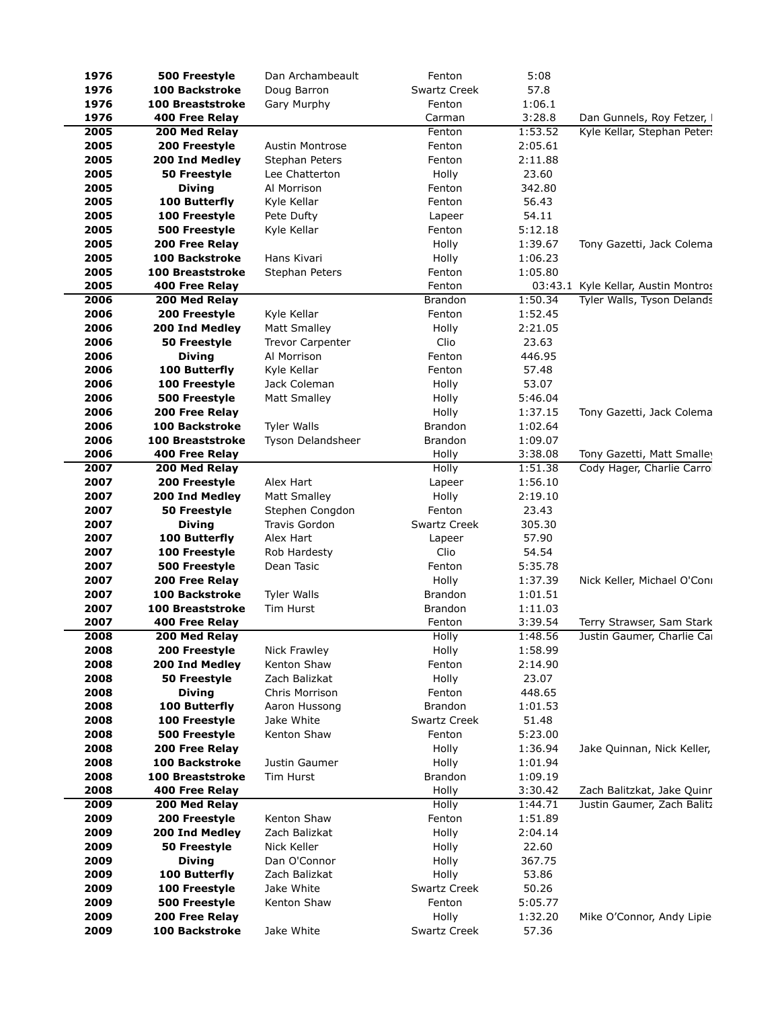| 1976         | 500 Freestyle                  | Dan Archambeault          | Fenton                 | 5:08             |                                     |
|--------------|--------------------------------|---------------------------|------------------------|------------------|-------------------------------------|
| 1976         | <b>100 Backstroke</b>          | Doug Barron               | Swartz Creek           | 57.8             |                                     |
| 1976         | <b>100 Breaststroke</b>        | Gary Murphy               | Fenton                 | 1:06.1           |                                     |
| 1976         | 400 Free Relay                 |                           | Carman                 | 3:28.8           | Dan Gunnels, Roy Fetzer, I          |
| 2005         | 200 Med Relay                  |                           | Fenton                 | 1:53.52          | Kyle Kellar, Stephan Peter:         |
| 2005         | 200 Freestyle                  | <b>Austin Montrose</b>    | Fenton                 | 2:05.61          |                                     |
| 2005         | 200 Ind Medley                 | Stephan Peters            | Fenton                 | 2:11.88          |                                     |
| 2005         | 50 Freestyle                   | Lee Chatterton            | Holly                  | 23.60            |                                     |
| 2005         | <b>Diving</b>                  | Al Morrison               | Fenton                 | 342.80           |                                     |
| 2005         | 100 Butterfly                  | Kyle Kellar               | Fenton                 | 56.43            |                                     |
| 2005         | 100 Freestyle                  | Pete Dufty                | Lapeer                 | 54.11            |                                     |
| 2005         | 500 Freestyle                  | Kyle Kellar               | Fenton                 | 5:12.18          |                                     |
| 2005         | 200 Free Relay                 |                           | Holly                  | 1:39.67          | Tony Gazetti, Jack Colema           |
| 2005         | <b>100 Backstroke</b>          | Hans Kivari               | Holly                  | 1:06.23          |                                     |
| 2005         | <b>100 Breaststroke</b>        | Stephan Peters            | Fenton                 | 1:05.80          |                                     |
| 2005         | 400 Free Relay                 |                           | Fenton                 |                  | 03:43.1 Kyle Kellar, Austin Montros |
| 2006         | 200 Med Relay                  |                           | <b>Brandon</b>         | 1:50.34          | Tyler Walls, Tyson Delands          |
| 2006         | 200 Freestyle                  | Kyle Kellar               | Fenton                 | 1:52.45          |                                     |
| 2006         | 200 Ind Medley                 | <b>Matt Smalley</b>       | Holly                  | 2:21.05          |                                     |
| 2006         | 50 Freestyle                   | <b>Trevor Carpenter</b>   | Clio                   | 23.63            |                                     |
| 2006         | <b>Diving</b>                  | Al Morrison               | Fenton                 | 446.95           |                                     |
| 2006         | 100 Butterfly                  | Kyle Kellar               | Fenton                 | 57.48            |                                     |
| 2006         | 100 Freestyle                  | Jack Coleman              | Holly                  | 53.07            |                                     |
| 2006         | 500 Freestyle                  | <b>Matt Smalley</b>       | Holly                  | 5:46.04          |                                     |
| 2006         | 200 Free Relay                 |                           | Holly                  | 1:37.15          | Tony Gazetti, Jack Colema           |
| 2006         | <b>100 Backstroke</b>          | <b>Tyler Walls</b>        | <b>Brandon</b>         | 1:02.64          |                                     |
| 2006         | <b>100 Breaststroke</b>        | Tyson Delandsheer         | <b>Brandon</b>         | 1:09.07          |                                     |
| 2006         | 400 Free Relay                 |                           | Holly                  | 3:38.08          | Tony Gazetti, Matt Smalley          |
| 2007         | 200 Med Relay                  |                           | Holly                  | 1:51.38          | Cody Hager, Charlie Carrol          |
| 2007         | 200 Freestyle                  | Alex Hart                 | Lapeer                 | 1:56.10          |                                     |
| 2007         | 200 Ind Medley                 | <b>Matt Smalley</b>       | Holly                  | 2:19.10          |                                     |
| 2007         | 50 Freestyle                   | Stephen Congdon           | Fenton                 | 23.43            |                                     |
| 2007         | <b>Diving</b>                  | Travis Gordon             | <b>Swartz Creek</b>    | 305.30           |                                     |
| 2007         | 100 Butterfly                  | Alex Hart                 | Lapeer                 | 57.90            |                                     |
| 2007         | 100 Freestyle                  | Rob Hardesty              | Clio                   | 54.54            |                                     |
| 2007         | 500 Freestyle                  | Dean Tasic                | Fenton                 | 5:35.78          |                                     |
| 2007         | 200 Free Relay                 |                           | Holly                  | 1:37.39          | Nick Keller, Michael O'Coni         |
| 2007         | <b>100 Backstroke</b>          | <b>Tyler Walls</b>        | <b>Brandon</b>         | 1:01.51          |                                     |
| 2007         | <b>100 Breaststroke</b>        | Tim Hurst                 | <b>Brandon</b>         | 1:11.03          |                                     |
| 2007         | <b>400 Free Relay</b>          |                           | Fenton                 | 3:39.54          | Terry Strawser, Sam Stark           |
| 2008         | 200 Med Relay                  |                           | Holly                  | 1:48.56          | Justin Gaumer, Charlie Car          |
| 2008         | 200 Freestyle                  | Nick Frawley              | Holly                  | 1:58.99          |                                     |
| 2008         | 200 Ind Medley                 | Kenton Shaw               | Fenton                 | 2:14.90          |                                     |
| 2008         | 50 Freestyle                   | Zach Balizkat             | Holly                  | 23.07            |                                     |
| 2008         | <b>Diving</b>                  | Chris Morrison            | Fenton                 | 448.65           |                                     |
| 2008         | 100 Butterfly<br>100 Freestyle | Aaron Hussong             | <b>Brandon</b>         | 1:01.53          |                                     |
| 2008<br>2008 | 500 Freestyle                  | Jake White<br>Kenton Shaw | Swartz Creek<br>Fenton | 51.48<br>5:23.00 |                                     |
| 2008         | 200 Free Relay                 |                           | Holly                  | 1:36.94          | Jake Quinnan, Nick Keller,          |
| 2008         | <b>100 Backstroke</b>          | Justin Gaumer             | Holly                  | 1:01.94          |                                     |
| 2008         | <b>100 Breaststroke</b>        | Tim Hurst                 | Brandon                | 1:09.19          |                                     |
| 2008         | 400 Free Relay                 |                           | Holly                  | 3:30.42          | Zach Balitzkat, Jake Quinr          |
| 2009         | 200 Med Relay                  |                           | Holly                  | 1:44.71          | Justin Gaumer, Zach Balitz          |
| 2009         | 200 Freestyle                  | Kenton Shaw               | Fenton                 | 1:51.89          |                                     |
| 2009         | 200 Ind Medley                 | Zach Balizkat             | Holly                  | 2:04.14          |                                     |
| 2009         | 50 Freestyle                   | Nick Keller               | Holly                  | 22.60            |                                     |
| 2009         | <b>Diving</b>                  | Dan O'Connor              | Holly                  | 367.75           |                                     |
| 2009         | 100 Butterfly                  | Zach Balizkat             | Holly                  | 53.86            |                                     |
| 2009         | 100 Freestyle                  | Jake White                | Swartz Creek           | 50.26            |                                     |
| 2009         | 500 Freestyle                  | Kenton Shaw               | Fenton                 | 5:05.77          |                                     |
| 2009         | 200 Free Relay                 |                           | Holly                  | 1:32.20          | Mike O'Connor, Andy Lipie           |
| 2009         | <b>100 Backstroke</b>          | Jake White                | Swartz Creek           | 57.36            |                                     |
|              |                                |                           |                        |                  |                                     |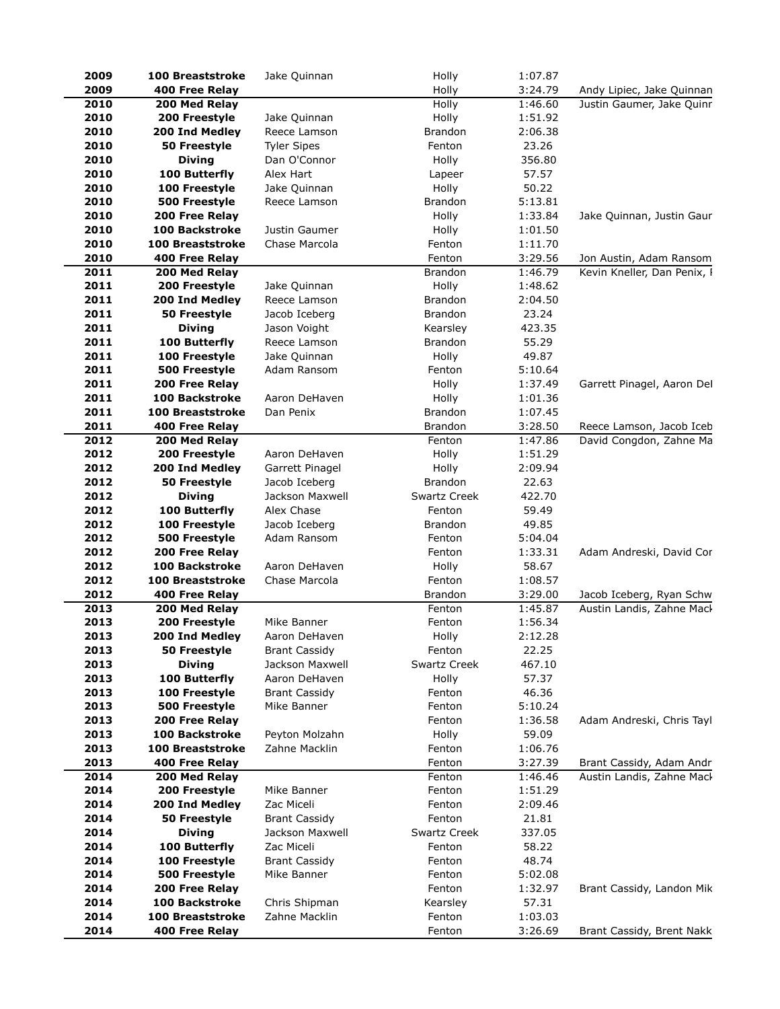| 2009 | <b>100 Breaststroke</b> | Jake Quinnan         | Holly               | 1:07.87 |                             |
|------|-------------------------|----------------------|---------------------|---------|-----------------------------|
| 2009 | 400 Free Relay          |                      | Holly               | 3:24.79 | Andy Lipiec, Jake Quinnan   |
| 2010 | 200 Med Relay           |                      | Holly               | 1:46.60 | Justin Gaumer, Jake Quinr   |
| 2010 | 200 Freestyle           | Jake Quinnan         | Holly               | 1:51.92 |                             |
| 2010 | 200 Ind Medley          | Reece Lamson         | <b>Brandon</b>      | 2:06.38 |                             |
| 2010 | 50 Freestyle            | <b>Tyler Sipes</b>   | Fenton              | 23.26   |                             |
| 2010 | <b>Diving</b>           | Dan O'Connor         | Holly               | 356.80  |                             |
| 2010 | 100 Butterfly           | Alex Hart            | Lapeer              | 57.57   |                             |
| 2010 | 100 Freestyle           | Jake Quinnan         | Holly               | 50.22   |                             |
| 2010 | 500 Freestyle           | Reece Lamson         | Brandon             | 5:13.81 |                             |
| 2010 | 200 Free Relay          |                      | Holly               | 1:33.84 | Jake Quinnan, Justin Gaur   |
| 2010 | 100 Backstroke          | Justin Gaumer        | Holly               | 1:01.50 |                             |
| 2010 | <b>100 Breaststroke</b> | Chase Marcola        | Fenton              | 1:11.70 |                             |
| 2010 | 400 Free Relay          |                      | Fenton              | 3:29.56 | Jon Austin, Adam Ransom     |
| 2011 | 200 Med Relay           |                      | <b>Brandon</b>      | 1:46.79 | Kevin Kneller, Dan Penix, I |
| 2011 | 200 Freestyle           | Jake Quinnan         | Holly               | 1:48.62 |                             |
| 2011 | 200 Ind Medley          | Reece Lamson         | <b>Brandon</b>      | 2:04.50 |                             |
| 2011 | 50 Freestyle            | Jacob Iceberg        | <b>Brandon</b>      | 23.24   |                             |
| 2011 | <b>Diving</b>           | Jason Voight         | Kearsley            | 423.35  |                             |
| 2011 | 100 Butterfly           | Reece Lamson         | Brandon             | 55.29   |                             |
| 2011 | 100 Freestyle           | Jake Quinnan         | Holly               | 49.87   |                             |
| 2011 | 500 Freestyle           | Adam Ransom          | Fenton              | 5:10.64 |                             |
| 2011 | 200 Free Relay          |                      | Holly               | 1:37.49 | Garrett Pinagel, Aaron Del  |
| 2011 | <b>100 Backstroke</b>   | Aaron DeHaven        | Holly               | 1:01.36 |                             |
| 2011 | <b>100 Breaststroke</b> | Dan Penix            | <b>Brandon</b>      | 1:07.45 |                             |
| 2011 | <b>400 Free Relay</b>   |                      | <b>Brandon</b>      | 3:28.50 | Reece Lamson, Jacob Iceb    |
| 2012 | 200 Med Relay           |                      | Fenton              | 1:47.86 | David Congdon, Zahne Ma     |
| 2012 | 200 Freestyle           | Aaron DeHaven        | Holly               | 1:51.29 |                             |
| 2012 | 200 Ind Medley          | Garrett Pinagel      | Holly               | 2:09.94 |                             |
| 2012 | 50 Freestyle            | Jacob Iceberg        | <b>Brandon</b>      | 22.63   |                             |
| 2012 | <b>Diving</b>           | Jackson Maxwell      | <b>Swartz Creek</b> | 422.70  |                             |
| 2012 | 100 Butterfly           | Alex Chase           | Fenton              | 59.49   |                             |
| 2012 | 100 Freestyle           | Jacob Iceberg        | Brandon             | 49.85   |                             |
| 2012 | 500 Freestyle           | Adam Ransom          | Fenton              | 5:04.04 |                             |
| 2012 | 200 Free Relay          |                      | Fenton              | 1:33.31 | Adam Andreski, David Cor    |
| 2012 | 100 Backstroke          | Aaron DeHaven        | Holly               | 58.67   |                             |
| 2012 | <b>100 Breaststroke</b> | Chase Marcola        | Fenton              | 1:08.57 |                             |
| 2012 | 400 Free Relay          |                      | <b>Brandon</b>      | 3:29.00 | Jacob Iceberg, Ryan Schw    |
| 2013 | 200 Med Relay           |                      | Fenton              | 1:45.87 | Austin Landis, Zahne Mack   |
| 2013 | 200 Freestyle           | Mike Banner          | Fenton              | 1:56.34 |                             |
| 2013 | 200 Ind Medlev          | Aaron DeHaven        | Holly               | 2:12.28 |                             |
| 2013 | <b>50 Freestyle</b>     | <b>Brant Cassidy</b> | Fenton              | 22.25   |                             |
| 2013 | <b>Diving</b>           | Jackson Maxwell      | <b>Swartz Creek</b> | 467.10  |                             |
| 2013 | 100 Butterfly           | Aaron DeHaven        | Holly               | 57.37   |                             |
| 2013 | 100 Freestyle           | <b>Brant Cassidy</b> | Fenton              | 46.36   |                             |
| 2013 | 500 Freestyle           | Mike Banner          | Fenton              | 5:10.24 |                             |
| 2013 | 200 Free Relay          |                      | Fenton              | 1:36.58 | Adam Andreski, Chris Tayl   |
| 2013 | <b>100 Backstroke</b>   | Peyton Molzahn       | Holly               | 59.09   |                             |
| 2013 | <b>100 Breaststroke</b> | Zahne Macklin        | Fenton              | 1:06.76 |                             |
| 2013 | 400 Free Relay          |                      | Fenton              | 3:27.39 | Brant Cassidy, Adam Andr    |
| 2014 | 200 Med Relay           |                      | Fenton              | 1:46.46 | Austin Landis, Zahne Mack   |
| 2014 | 200 Freestyle           | Mike Banner          | Fenton              | 1:51.29 |                             |
| 2014 | 200 Ind Medley          | Zac Miceli           | Fenton              | 2:09.46 |                             |
| 2014 | 50 Freestyle            | <b>Brant Cassidy</b> | Fenton              | 21.81   |                             |
| 2014 | <b>Diving</b>           | Jackson Maxwell      | Swartz Creek        | 337.05  |                             |
| 2014 | 100 Butterfly           | Zac Miceli           | Fenton              | 58.22   |                             |
| 2014 | 100 Freestyle           | <b>Brant Cassidy</b> | Fenton              | 48.74   |                             |
| 2014 | 500 Freestyle           | Mike Banner          | Fenton              | 5:02.08 |                             |
| 2014 | 200 Free Relay          |                      | Fenton              | 1:32.97 | Brant Cassidy, Landon Mik   |
| 2014 | <b>100 Backstroke</b>   | Chris Shipman        | Kearsley            | 57.31   |                             |
| 2014 | <b>100 Breaststroke</b> | Zahne Macklin        | Fenton              | 1:03.03 |                             |
| 2014 | 400 Free Relay          |                      | Fenton              | 3:26.69 | Brant Cassidy, Brent Nakk   |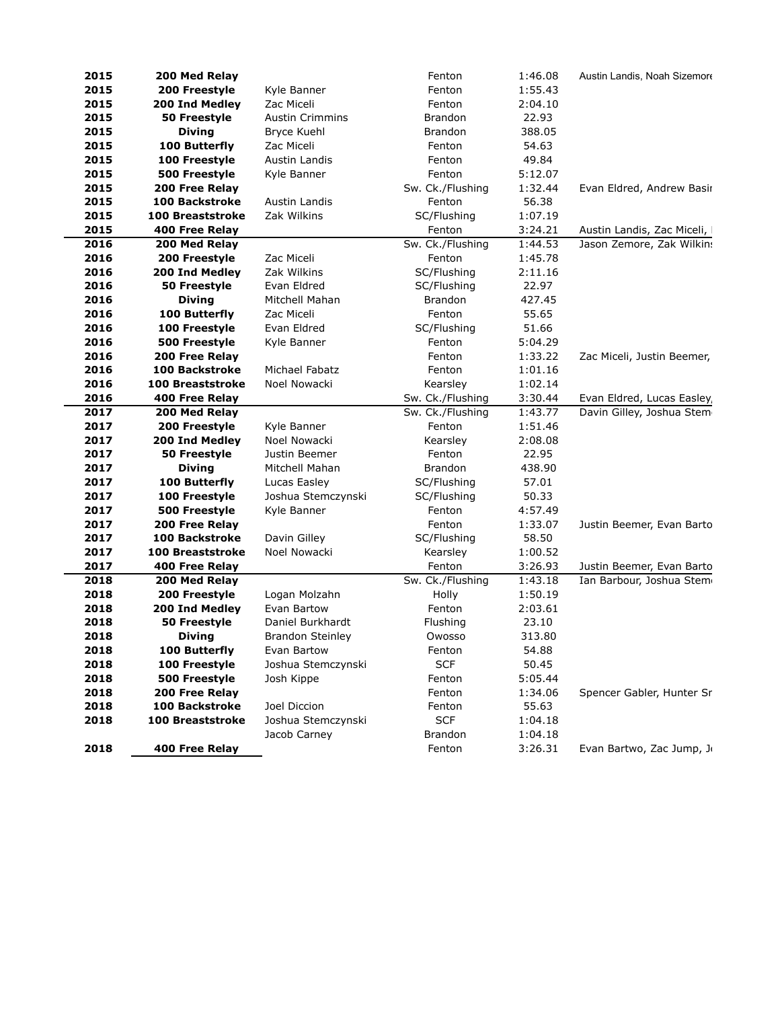| 2015 | 200 Med Relay           |                         | Fenton           | 1:46.08 | Austin Landis, Noah Sizemore |
|------|-------------------------|-------------------------|------------------|---------|------------------------------|
| 2015 | 200 Freestyle           | Kyle Banner             | Fenton           | 1:55.43 |                              |
| 2015 | 200 Ind Medley          | Zac Miceli              | Fenton           | 2:04.10 |                              |
| 2015 | 50 Freestyle            | <b>Austin Crimmins</b>  | <b>Brandon</b>   | 22.93   |                              |
| 2015 | <b>Diving</b>           | Bryce Kuehl             | Brandon          | 388.05  |                              |
| 2015 | 100 Butterfly           | Zac Miceli              | Fenton           | 54.63   |                              |
| 2015 | 100 Freestyle           | Austin Landis           | Fenton           | 49.84   |                              |
| 2015 | 500 Freestyle           | Kyle Banner             | Fenton           | 5:12.07 |                              |
| 2015 | 200 Free Relay          |                         | Sw. Ck./Flushing | 1:32.44 | Evan Eldred, Andrew Basir    |
| 2015 | <b>100 Backstroke</b>   | Austin Landis           | Fenton           | 56.38   |                              |
| 2015 | <b>100 Breaststroke</b> | Zak Wilkins             | SC/Flushing      | 1:07.19 |                              |
| 2015 | <b>400 Free Relay</b>   |                         | Fenton           | 3:24.21 | Austin Landis, Zac Miceli,   |
| 2016 | 200 Med Relay           |                         | Sw. Ck./Flushing | 1:44.53 | Jason Zemore, Zak Wilkins    |
| 2016 | 200 Freestyle           | Zac Miceli              | Fenton           | 1:45.78 |                              |
| 2016 | 200 Ind Medley          | Zak Wilkins             | SC/Flushing      | 2:11.16 |                              |
| 2016 | 50 Freestyle            | Evan Eldred             | SC/Flushing      | 22.97   |                              |
| 2016 | <b>Diving</b>           | Mitchell Mahan          | <b>Brandon</b>   | 427.45  |                              |
| 2016 | 100 Butterfly           | Zac Miceli              | Fenton           | 55.65   |                              |
| 2016 | 100 Freestyle           | Evan Eldred             | SC/Flushing      | 51.66   |                              |
| 2016 | 500 Freestyle           | Kyle Banner             | Fenton           | 5:04.29 |                              |
| 2016 | 200 Free Relay          |                         | Fenton           | 1:33.22 | Zac Miceli, Justin Beemer,   |
| 2016 | <b>100 Backstroke</b>   | Michael Fabatz          | Fenton           | 1:01.16 |                              |
| 2016 | <b>100 Breaststroke</b> | Noel Nowacki            | Kearsley         | 1:02.14 |                              |
| 2016 | 400 Free Relay          |                         | Sw. Ck./Flushing | 3:30.44 | Evan Eldred, Lucas Easley,   |
| 2017 | 200 Med Relay           |                         | Sw. Ck./Flushing | 1:43.77 | Davin Gilley, Joshua Stem    |
| 2017 | 200 Freestyle           | Kyle Banner             | Fenton           | 1:51.46 |                              |
| 2017 | 200 Ind Medley          | Noel Nowacki            | Kearsley         | 2:08.08 |                              |
| 2017 | 50 Freestyle            | Justin Beemer           | Fenton           | 22.95   |                              |
| 2017 | <b>Diving</b>           | Mitchell Mahan          | <b>Brandon</b>   | 438.90  |                              |
| 2017 | 100 Butterfly           | Lucas Easley            | SC/Flushing      | 57.01   |                              |
| 2017 | 100 Freestyle           | Joshua Stemczynski      | SC/Flushing      | 50.33   |                              |
| 2017 | 500 Freestyle           | Kyle Banner             | Fenton           | 4:57.49 |                              |
| 2017 | 200 Free Relay          |                         | Fenton           | 1:33.07 | Justin Beemer, Evan Barto    |
| 2017 | <b>100 Backstroke</b>   | Davin Gilley            | SC/Flushing      | 58.50   |                              |
| 2017 | <b>100 Breaststroke</b> | Noel Nowacki            | Kearsley         | 1:00.52 |                              |
| 2017 | 400 Free Relay          |                         | Fenton           | 3:26.93 | Justin Beemer, Evan Barto    |
| 2018 | 200 Med Relay           |                         | Sw. Ck./Flushing | 1:43.18 | Ian Barbour, Joshua Stem     |
| 2018 | 200 Freestyle           | Logan Molzahn           | Holly            | 1:50.19 |                              |
| 2018 | 200 Ind Medley          | Evan Bartow             | Fenton           | 2:03.61 |                              |
| 2018 | 50 Freestyle            | Daniel Burkhardt        | Flushing         | 23.10   |                              |
| 2018 | <b>Diving</b>           | <b>Brandon Steinley</b> | Owosso           | 313.80  |                              |
| 2018 | 100 Butterfly           | Evan Bartow             | Fenton           | 54.88   |                              |
| 2018 | 100 Freestyle           | Joshua Stemczynski      | <b>SCF</b>       | 50.45   |                              |
| 2018 | 500 Freestyle           | Josh Kippe              | Fenton           | 5:05.44 |                              |
| 2018 | 200 Free Relay          |                         | Fenton           | 1:34.06 | Spencer Gabler, Hunter Sr    |
| 2018 | <b>100 Backstroke</b>   | Joel Diccion            | Fenton           | 55.63   |                              |
| 2018 | <b>100 Breaststroke</b> | Joshua Stemczynski      | <b>SCF</b>       | 1:04.18 |                              |
|      |                         | Jacob Carney            | Brandon          | 1:04.18 |                              |
|      |                         |                         |                  |         |                              |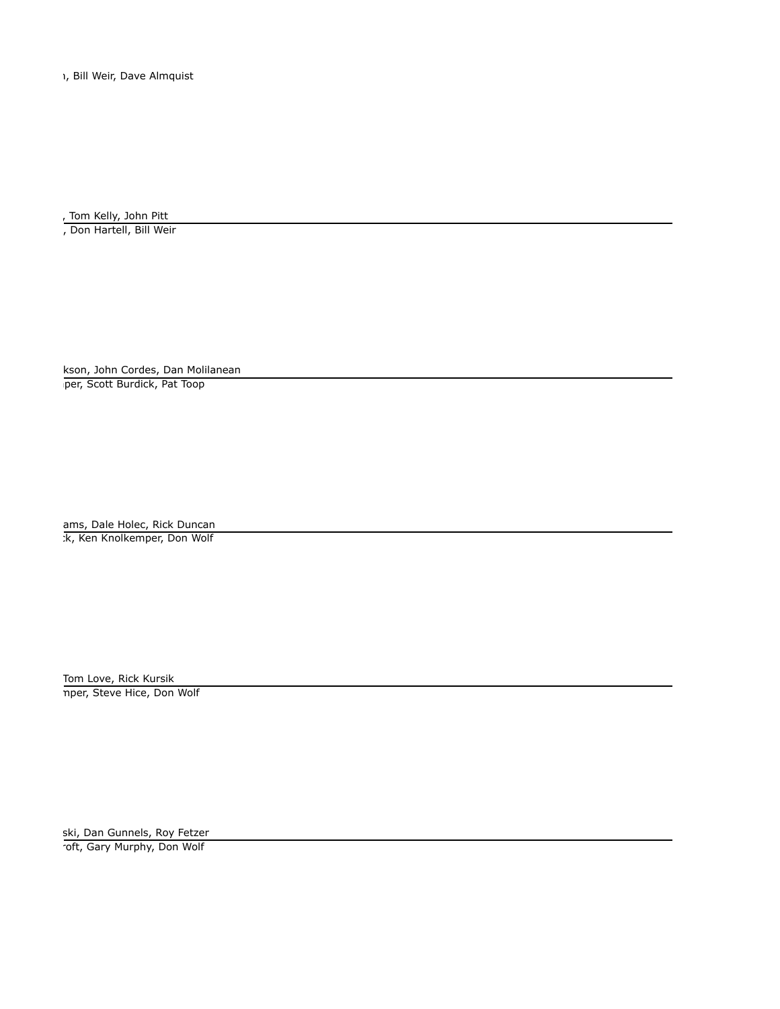1, Bill Weir, Dave Almquist

. Tom Kelly, John Pitt

, Don Hartell, Bill Weir

kson, John Cordes, Dan Molilanean per, Scott Burdick, Pat Toop

ams, Dale Holec, Rick Duncan k, Ken Knolkemper, Don Wolf:

> Tom Love, Rick Kursik nper, Steve Hice, Don Wolf

ski, Dan Gunnels, Roy Fetzer roft, Gary Murphy, Don Wolf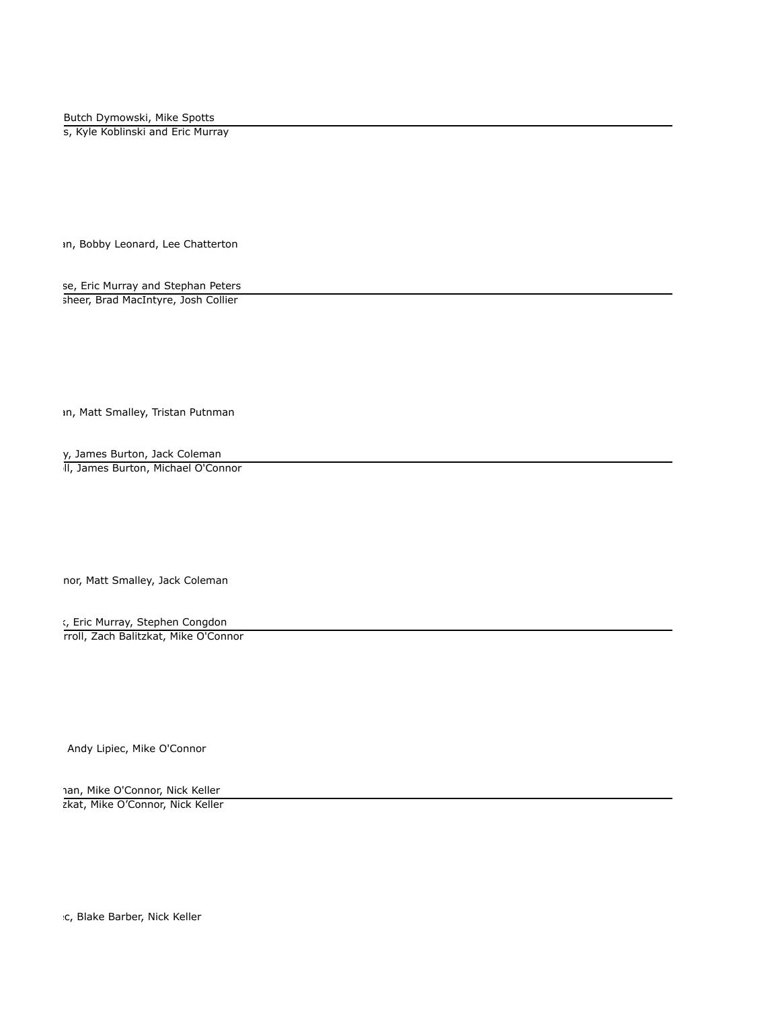Butch Dymowski, Mike Spotts

s, Kyle Koblinski and Eric Murray

In, Bobby Leonard, Lee Chatterton

se, Eric Murray and Stephan Peters sheer, Brad MacIntyre, Josh Collier

In, Matt Smalley, Tristan Putnman

y, James Burton, Jack Coleman

II, James Burton, Michael O'Connor

nor, Matt Smalley, Jack Coleman

s, Eric Murray, Stephen Congdon rroll, Zach Balitzkat, Mike O'Connor

Andy Lipiec, Mike O'Connor

han, Mike O'Connor, Nick Keller zkat, Mike O'Connor, Nick Keller

 $c$ , Blake Barber, Nick Keller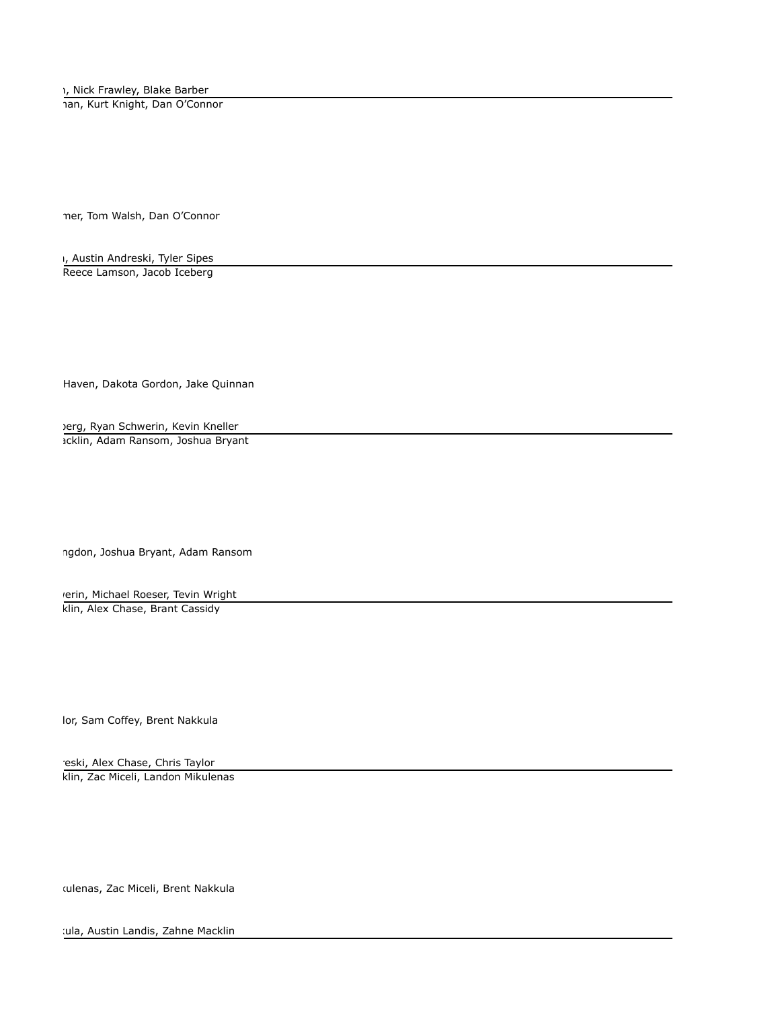1, Nick Frawley, Blake Barber

Jan, Kurt Knight, Dan O'Connor

ner, Tom Walsh, Dan O'Connor

 $\mathsf{I}_I$ , Austin Andreski, Tyler Sipes Reece Lamson, Jacob Iceberg

Haven, Dakota Gordon, Jake Quinnan

lerg, Ryan Schwerin, Kevin Kneller acklin, Adam Ransom, Joshua Bryant

ngdon, Joshua Bryant, Adam Ransom

rerin, Michael Roeser, Tevin Wright klin, Alex Chase, Brant Cassidy

lor, Sam Coffey, Brent Nakkula

eski, Alex Chase, Chris Taylor klin, Zac Miceli, Landon Mikulenas

tulenas, Zac Miceli, Brent Nakkula

tula, Austin Landis, Zahne Macklin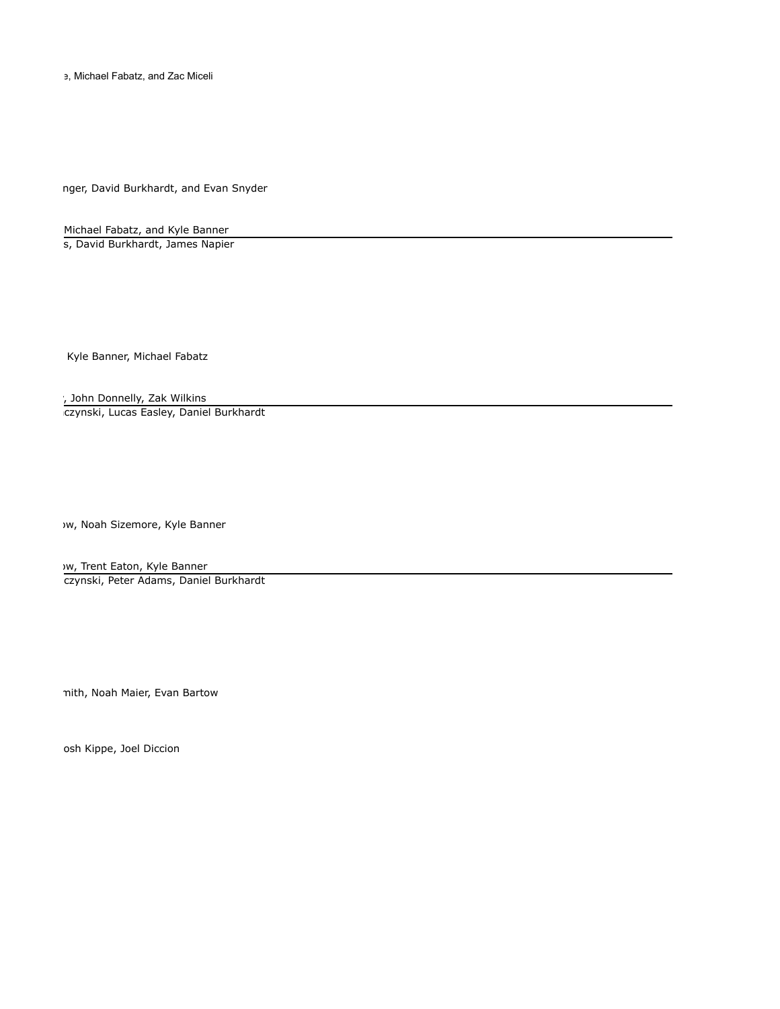e, Michael Fabatz, and Zac Miceli

nger, David Burkhardt, and Evan Snyder

Michael Fabatz, and Kyle Banner s, David Burkhardt, James Napier

Kyle Banner, Michael Fabatz

, John Donnelly, Zak Wilkins czynski, Lucas Easley, Daniel Burkhardt

Jw, Noah Sizemore, Kyle Banner

w, Trent Eaton, Kyle Banner czynski, Peter Adams, Daniel Burkhardt

nith, Noah Maier, Evan Bartow

osh Kippe, Joel Diccion